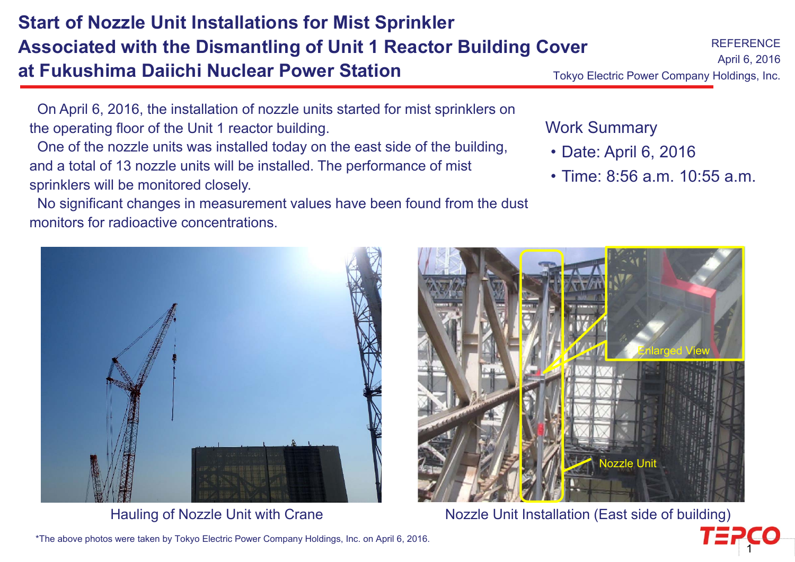\*The above photos were taken by Tokyo Electric Power Company Holdings, Inc. on April 6, 2016.

# **Start of Nozzle Unit Installations for Mist Sprinkler Associated with the Dismantling of Unit 1 Reactor Building Cover at Fukushima Daiichi Nuclear Power Station**

On April 6, 2016, the installation of nozzle units started for mist sprinklers on the operating floor of the Unit 1 reactor building.

One of the nozzle units was installed today on the east side of the building, and a total of 13 nozzle units will be installed. The performance of mist sprinklers will be monitored closely.

No significant changes in measurement values have been found from the dust monitors for radioactive concentrations.

#### Work Summary

- ・Date: April 6, 2016
- ・Time: 8:56 a.m. 10:55 a.m.

Enlarged View



Nozzle Unit







Tokyo Electric Power Company Holdings, Inc.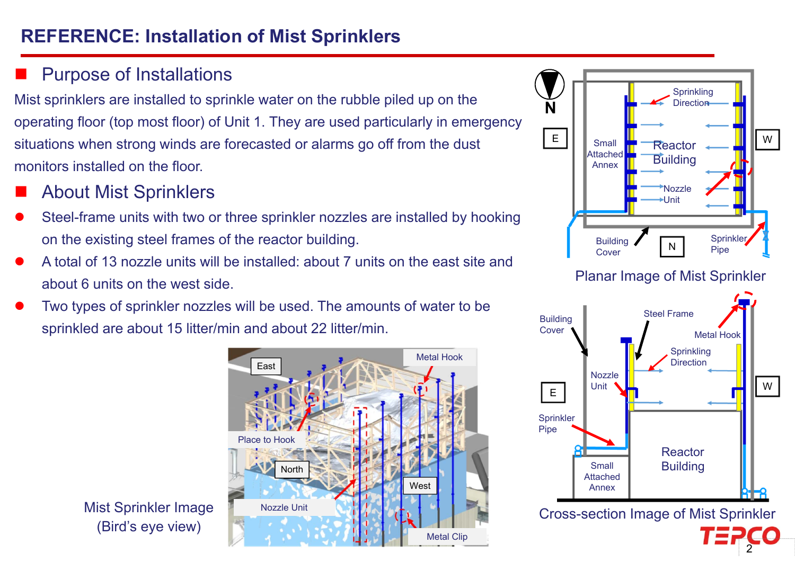# **REFERENCE: Installation of Mist Sprinklers**

### Purpose of Installations

Mist sprinklers are installed to sprinkle water on the rubble piled up on the operating floor (top most floor) of Unit 1. They are used particularly in emergency situations when strong winds are forecasted or alarms go off from the dust monitors installed on the floor.

- About Mist Sprinklers
- $\bullet$  Steel-frame units with two or three sprinkler nozzles are installed by hooking on the existing steel frames of the reactor building.
- $\bullet$  A total of 13 nozzle units will be installed: about 7 units on the east site and about 6 units on the west side.
- $\bullet$  Two types of sprinkler nozzles will be used. The amounts of water to be sprinkled are about 15 litter/min and about 22 litter/min.



Mist Sprinkler Image (Bird's eye view)



#### Planar Image of Mist Sprinkler